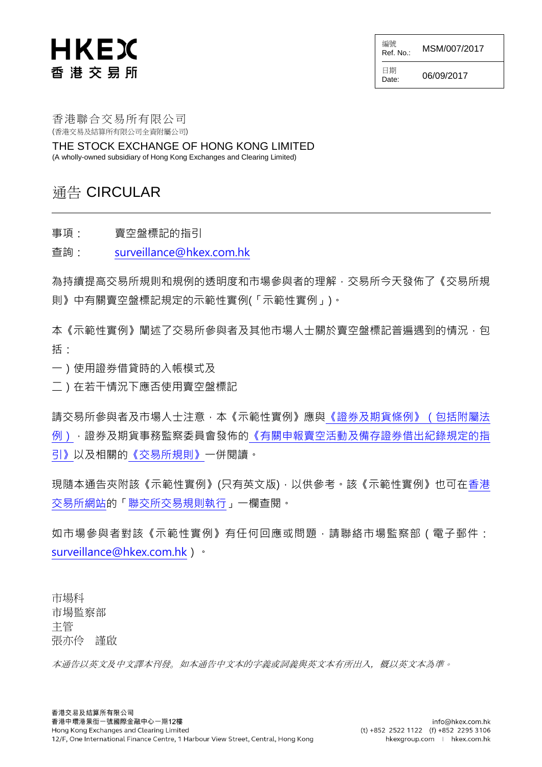# HKEX 香港交易所

編號<br>Ref. No.: MSM/007/2017

日期<br>Date:

06/09/2017

香港聯合交易所有限公司 (香港交易及結算所有限公司全資附屬公司)

THE STOCK EXCHANGE OF HONG KONG LIMITED (A wholly-owned subsidiary of Hong Kong Exchanges and Clearing Limited)

#### 通告 CIRCULAR

事項: 賣空盤標記的指引

查詢: [surveillance@hkex.com.hk](mailto:surveillance@hkex.com.hk)

為持續提高交易所規則和規例的透明度和市場參與者的理解,交易所今天發佈了《交易所規 則》中有關賣空盤標記規定的示範性實例(「示範性實例」)。

本《示範性實例》闡述了交易所參與者及其他市場人士關於賣空盤標記普遍遇到的情況,包 括:

一)使用證券借貸時的入帳模式及

二)在若干情況下應否使用賣空盤標記

請交易所參與者及市場人士注意,本《示範性實例》應[與《證券及期貨條例》\(包括附屬法](http://www.sfc.hk/web/TC/rules-and-standards/laws/securities-and-futures-ordinance.html) [例\),](http://www.sfc.hk/web/TC/rules-and-standards/laws/securities-and-futures-ordinance.html)證券及期貨事務監察委員會發佈[的《有關申報賣空活動及備存證券借出紀錄規定的指](http://www.sfc.hk/web/TC/assets/components/codes/files-current/zh-hant/%E6%9C%89%E9%97%9C%E7%94%B3%E5%A0%B1%E8%B3%A3%E7%A9%BA%E6%B4%BB%E5%8B%95%E5%8F%8A%E5%82%99%E5%AD%98%E8%AD%89%E5%88%B8%E5%80%9F%E5%87%BA%E7%B4%80%E9%8C%84%E8%A6%8F%E5%AE%9A%E7%9A%84%E6%8C%87%E5%BC%95/%E6%9C%89%E9%97%9C%E7%94%B3%E5%A0%B1%E8%B3%A3%E7%A9%BA%E6%B4%BB%E5%8B%95%E5%8F%8A%E5%82%99%E5%AD%98%E8%AD%89%E5%88%B8%E5%80%9F%E5%87%BA%E7%B4%80%E9%8C%84%E8%A6%8F%E5%AE%9A%E7%9A%84%E6%8C%87%E5%BC%95.pdf) [引》以](http://www.sfc.hk/web/TC/assets/components/codes/files-current/zh-hant/%E6%9C%89%E9%97%9C%E7%94%B3%E5%A0%B1%E8%B3%A3%E7%A9%BA%E6%B4%BB%E5%8B%95%E5%8F%8A%E5%82%99%E5%AD%98%E8%AD%89%E5%88%B8%E5%80%9F%E5%87%BA%E7%B4%80%E9%8C%84%E8%A6%8F%E5%AE%9A%E7%9A%84%E6%8C%87%E5%BC%95/%E6%9C%89%E9%97%9C%E7%94%B3%E5%A0%B1%E8%B3%A3%E7%A9%BA%E6%B4%BB%E5%8B%95%E5%8F%8A%E5%82%99%E5%AD%98%E8%AD%89%E5%88%B8%E5%80%9F%E5%87%BA%E7%B4%80%E9%8C%84%E8%A6%8F%E5%AE%9A%E7%9A%84%E6%8C%87%E5%BC%95.pdf)及相關[的《交易所規則》一](https://www.hkex.com.hk/chi/rulesreg/traderules/sehk/exrule_c.htm)併閱讀。

現隨本通告夾附該《示範性實例》(只有英文版),以供參考。該《示範性實例》也可[在香港](http://www.hkex.com.hk/chi/index_c.htm) [交易所網站的](http://www.hkex.com.hk/chi/index_c.htm)[「聯交所交易規則執行」](http://www.hkex.com.hk/chi/rulesreg/tradingruleenforcement/ruleenforcement_c.htm)一欄查閱。

如市場參與者對該《示範性實例》有任何回應或問題,請聯絡市場監察部(電子郵件: [surveillance@hkex.com.hk\)](mailto:surveillance@hkex.com.hk)。

市場科 市場監察部 主管 張亦伶 謹啟

本通告以英文及中文譯本刊發。如本通告中文本的字義或詞義與英文本有所出入,概以英文本為準。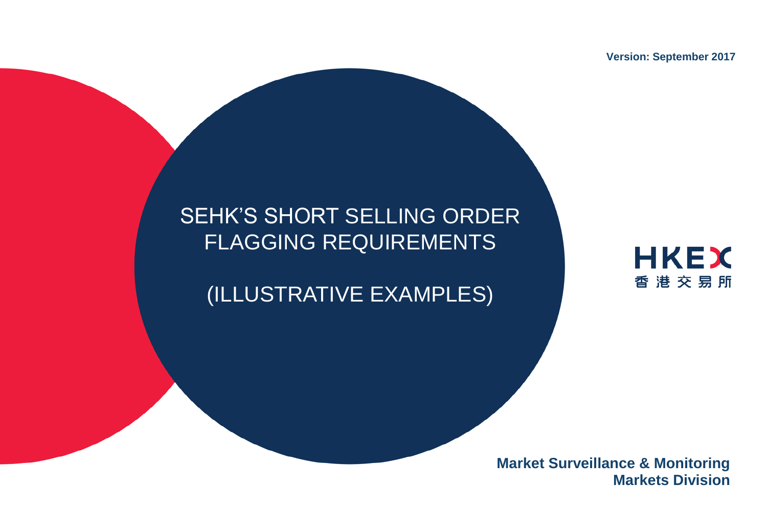**Version: September 2017**

# SEHK'S SHORT SELLING ORDER FLAGGING REQUIREMENTS

# (ILLUSTRATIVE EXAMPLES)



**Market Surveillance & Monitoring Markets Division**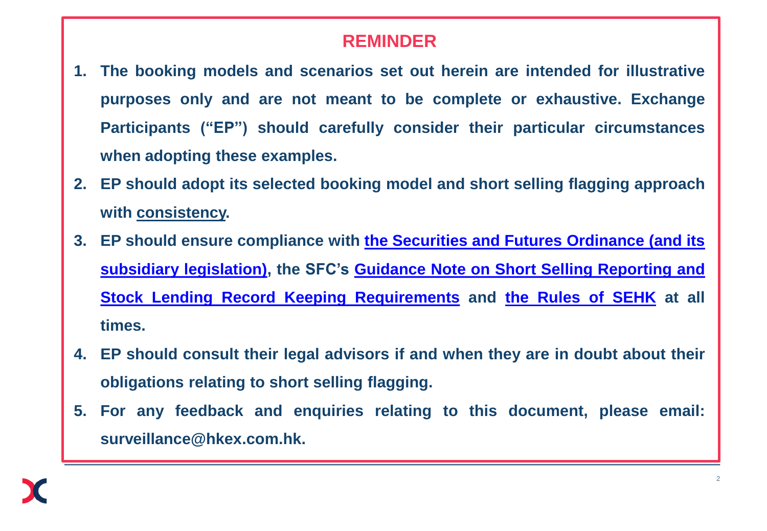#### **REMINDER**

- **1. The booking models and scenarios set out herein are intended for illustrative purposes only and are not meant to be complete or exhaustive. Exchange Participants ("EP") should carefully consider their particular circumstances when adopting these examples.**
- **2. EP should adopt its selected booking model and short selling flagging approach with consistency.**
- **3. EP should ensure compliance with [the](http://www.sfc.hk/web/EN/rules-and-standards/laws/securities-and-futures-ordinance.html) [Securities](http://www.sfc.hk/web/EN/rules-and-standards/laws/securities-and-futures-ordinance.html) [and](http://www.sfc.hk/web/EN/rules-and-standards/laws/securities-and-futures-ordinance.html) [Futures](http://www.sfc.hk/web/EN/rules-and-standards/laws/securities-and-futures-ordinance.html) [Ordinance](http://www.sfc.hk/web/EN/rules-and-standards/laws/securities-and-futures-ordinance.html) [\(and](http://www.sfc.hk/web/EN/rules-and-standards/laws/securities-and-futures-ordinance.html) [its](http://www.sfc.hk/web/EN/rules-and-standards/laws/securities-and-futures-ordinance.html) [subsidiary](http://www.sfc.hk/web/EN/rules-and-standards/laws/securities-and-futures-ordinance.html) [legislation\),](http://www.sfc.hk/web/EN/rules-and-standards/laws/securities-and-futures-ordinance.html) the SFC's [Guidance](http://www.sfc.hk/web/EN/assets/components/codes/files-current/web/guidance-note-on-short-selling-reporting-and-stock-lending-record-keeping-requirements/guidance-note-on-short-selling-reporting-and-stock-lending-record-keeping-requirements.pdf) [Note](http://www.sfc.hk/web/EN/assets/components/codes/files-current/web/guidance-note-on-short-selling-reporting-and-stock-lending-record-keeping-requirements/guidance-note-on-short-selling-reporting-and-stock-lending-record-keeping-requirements.pdf) [on](http://www.sfc.hk/web/EN/assets/components/codes/files-current/web/guidance-note-on-short-selling-reporting-and-stock-lending-record-keeping-requirements/guidance-note-on-short-selling-reporting-and-stock-lending-record-keeping-requirements.pdf) [Short](http://www.sfc.hk/web/EN/assets/components/codes/files-current/web/guidance-note-on-short-selling-reporting-and-stock-lending-record-keeping-requirements/guidance-note-on-short-selling-reporting-and-stock-lending-record-keeping-requirements.pdf) [Selling](http://www.sfc.hk/web/EN/assets/components/codes/files-current/web/guidance-note-on-short-selling-reporting-and-stock-lending-record-keeping-requirements/guidance-note-on-short-selling-reporting-and-stock-lending-record-keeping-requirements.pdf) [Reporting](http://www.sfc.hk/web/EN/assets/components/codes/files-current/web/guidance-note-on-short-selling-reporting-and-stock-lending-record-keeping-requirements/guidance-note-on-short-selling-reporting-and-stock-lending-record-keeping-requirements.pdf) [and](http://www.sfc.hk/web/EN/assets/components/codes/files-current/web/guidance-note-on-short-selling-reporting-and-stock-lending-record-keeping-requirements/guidance-note-on-short-selling-reporting-and-stock-lending-record-keeping-requirements.pdf) [Stock](http://www.sfc.hk/web/EN/assets/components/codes/files-current/web/guidance-note-on-short-selling-reporting-and-stock-lending-record-keeping-requirements/guidance-note-on-short-selling-reporting-and-stock-lending-record-keeping-requirements.pdf) [Lending](http://www.sfc.hk/web/EN/assets/components/codes/files-current/web/guidance-note-on-short-selling-reporting-and-stock-lending-record-keeping-requirements/guidance-note-on-short-selling-reporting-and-stock-lending-record-keeping-requirements.pdf) [Record](http://www.sfc.hk/web/EN/assets/components/codes/files-current/web/guidance-note-on-short-selling-reporting-and-stock-lending-record-keeping-requirements/guidance-note-on-short-selling-reporting-and-stock-lending-record-keeping-requirements.pdf) [Keeping](http://www.sfc.hk/web/EN/assets/components/codes/files-current/web/guidance-note-on-short-selling-reporting-and-stock-lending-record-keeping-requirements/guidance-note-on-short-selling-reporting-and-stock-lending-record-keeping-requirements.pdf) [Requirements](http://www.sfc.hk/web/EN/assets/components/codes/files-current/web/guidance-note-on-short-selling-reporting-and-stock-lending-record-keeping-requirements/guidance-note-on-short-selling-reporting-and-stock-lending-record-keeping-requirements.pdf) and [the](http://www.hkex.com.hk/eng/rulesreg/regulatory.htm) [Rules](http://www.hkex.com.hk/eng/rulesreg/regulatory.htm) [of](http://www.hkex.com.hk/eng/rulesreg/regulatory.htm) [SEHK](http://www.hkex.com.hk/eng/rulesreg/regulatory.htm) at all times.**
- **4. EP should consult their legal advisors if and when they are in doubt about their obligations relating to short selling flagging.**
- **5. For any feedback and enquiries relating to this document, please email: surveillance@hkex.com.hk.**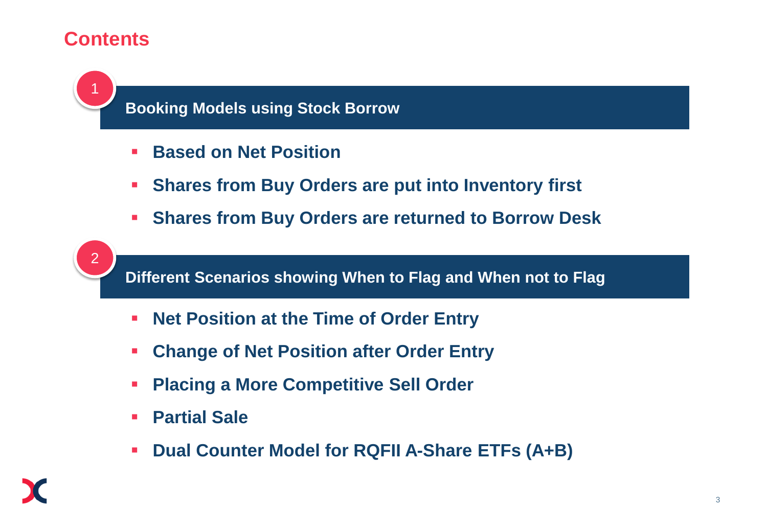#### **Contents**



**Booking Models using Stock Borrow**

- <u>Duote</u> **Based on Net Position**
- **Shares from Buy Orders are put into Inventory first**
- **Shares from Buy Orders are returned to Borrow Desk**



**Different Scenarios showing When to Flag and When not to Flag**

- **Net Position at the Time of Order Entry**
- **Change of Net Position after Order Entry**
- **Placing a More Competitive Sell Order**
- **Partial Sale**
- **Dual Counter Model for RQFII A-Share ETFs (A+B)**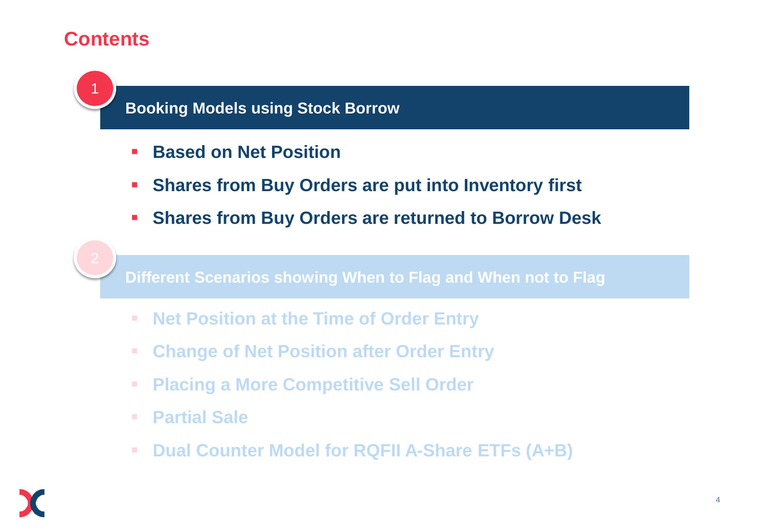#### **Contents**



**Booking Models using Stock Borrow**

- <u>Duote</u> **Based on Net Position**
- **Shares from Buy Orders are put into Inventory first**
- **Shares from Buy Orders are returned to Borrow Desk**



**Different Scenarios showing When to Flag and When not to Flag**

- **Net Position at the Time of Order Entry**
- **Change of Net Position after Order Entry**
- **Placing a More Competitive Sell Order**
- **Partial Sale**
- **Dual Counter Model for RQFII A-Share ETFs (A+B)**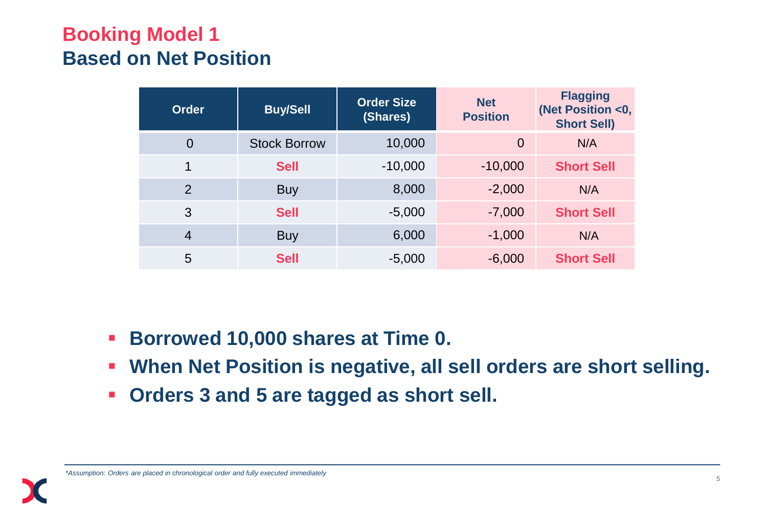## **Booking Model 1 Based on Net Position**

| <b>Order</b>   | <b>Buy/Sell</b>     | <b>Order Size</b><br>(Shares) | <b>Net</b><br><b>Position</b> | <b>Flagging</b><br>(Net Position <0,<br><b>Short Sell)</b> |
|----------------|---------------------|-------------------------------|-------------------------------|------------------------------------------------------------|
| $\overline{0}$ | <b>Stock Borrow</b> | 10,000                        | $\overline{0}$                | N/A                                                        |
| 1              | <b>Sell</b>         | $-10,000$                     | $-10,000$                     | <b>Short Sell</b>                                          |
| $\mathcal{P}$  | <b>Buy</b>          | 8,000                         | $-2,000$                      | N/A                                                        |
| 3              | <b>Sell</b>         | $-5,000$                      | $-7,000$                      | <b>Short Sell</b>                                          |
| $\overline{4}$ | <b>Buy</b>          | 6,000                         | $-1,000$                      | N/A                                                        |
| 5              | <b>Sell</b>         | $-5,000$                      | $-6,000$                      | <b>Short Sell</b>                                          |

- **Borrowed 10,000 shares at Time 0.**
- **When Net Position is negative, all sell orders are short selling.**
- **Orders 3 and 5 are tagged as short sell.**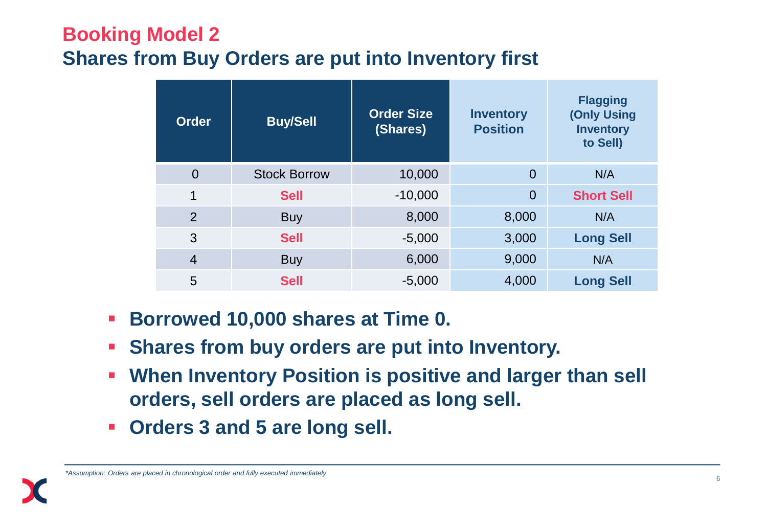## **Booking Model 2 Shares from Buy Orders are put into Inventory first**

| <b>Order</b>   | <b>Buy/Sell</b>     | <b>Order Size</b><br>(Shares) | <b>Inventory</b><br><b>Position</b> | <b>Flagging</b><br>(Only Using<br><b>Inventory</b><br>to Sell) |
|----------------|---------------------|-------------------------------|-------------------------------------|----------------------------------------------------------------|
| $\overline{0}$ | <b>Stock Borrow</b> | 10,000                        | $\overline{0}$                      | N/A                                                            |
| $\mathbf 1$    | <b>Sell</b>         | $-10,000$                     | $\overline{0}$                      | <b>Short Sell</b>                                              |
| $\overline{2}$ | <b>Buy</b>          | 8,000                         | 8,000                               | N/A                                                            |
| 3              | <b>Sell</b>         | $-5,000$                      | 3,000                               | <b>Long Sell</b>                                               |
| $\overline{4}$ | <b>Buy</b>          | 6,000                         | 9,000                               | N/A                                                            |
| 5              | <b>Sell</b>         | $-5,000$                      | 4,000                               | <b>Long Sell</b>                                               |

- **Borrowed 10,000 shares at Time 0.**
- **Shares from buy orders are put into Inventory.**
- **When Inventory Position is positive and larger than sell orders, sell orders are placed as long sell.**
- **Orders 3 and 5 are long sell.**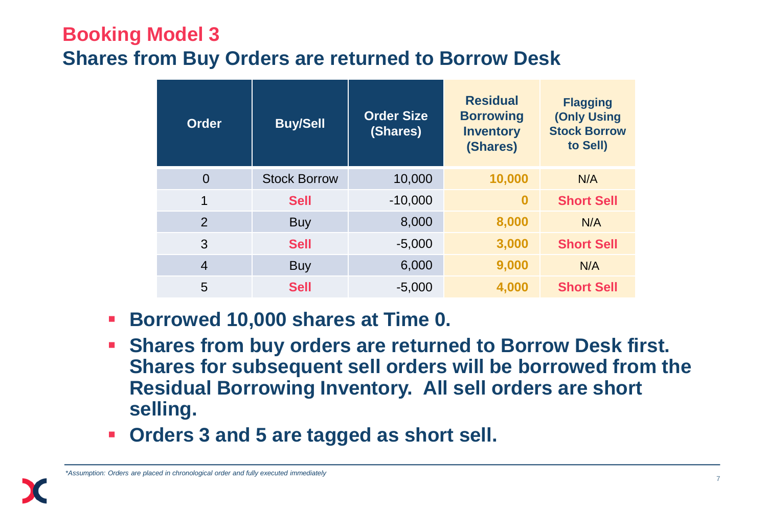#### **Booking Model 3 Shares from Buy Orders are returned to Borrow Desk**

| <b>Order</b>   | <b>Buy/Sell</b>     | <b>Order Size</b><br>(Shares) | <b>Residual</b><br><b>Borrowing</b><br><b>Inventory</b><br>(Shares) | <b>Flagging</b><br>(Only Using<br><b>Stock Borrow</b><br>to Sell) |
|----------------|---------------------|-------------------------------|---------------------------------------------------------------------|-------------------------------------------------------------------|
| $\overline{0}$ | <b>Stock Borrow</b> | 10,000                        | 10,000                                                              | N/A                                                               |
| 1              | <b>Sell</b>         | $-10,000$                     | $\bf{0}$                                                            | <b>Short Sell</b>                                                 |
| 2              | <b>Buy</b>          | 8,000                         | 8,000                                                               | N/A                                                               |
| 3              | <b>Sell</b>         | $-5,000$                      | 3,000                                                               | <b>Short Sell</b>                                                 |
| 4              | <b>Buy</b>          | 6,000                         | 9,000                                                               | N/A                                                               |
| 5              | <b>Sell</b>         | $-5,000$                      | 4,000                                                               | <b>Short Sell</b>                                                 |

- **Borrowed 10,000 shares at Time 0.**
- **Shares from buy orders are returned to Borrow Desk first. Shares for subsequent sell orders will be borrowed from the Residual Borrowing Inventory. All sell orders are short selling.**
- **Orders 3 and 5 are tagged as short sell.**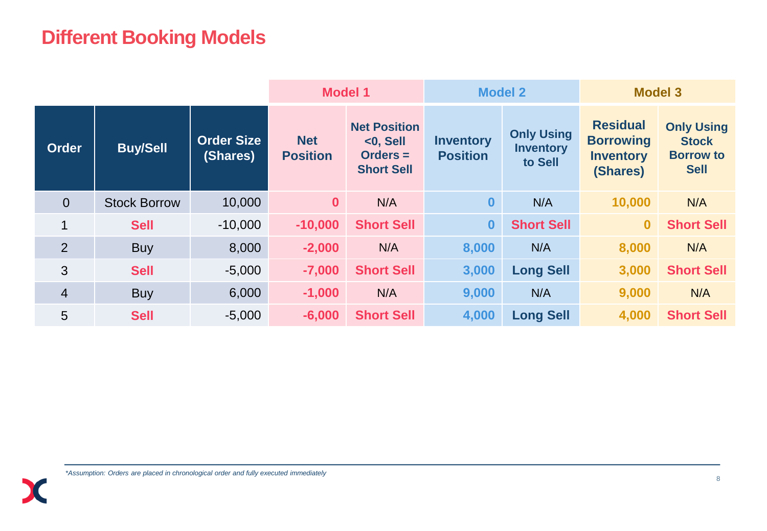### **Different Booking Models**

|                |                     | <b>Model 1</b>                |                               | <b>Model 2</b>                                                        |                                     | <b>Model 3</b>                                   |                                                                     |                                                                      |
|----------------|---------------------|-------------------------------|-------------------------------|-----------------------------------------------------------------------|-------------------------------------|--------------------------------------------------|---------------------------------------------------------------------|----------------------------------------------------------------------|
| <b>Order</b>   | <b>Buy/Sell</b>     | <b>Order Size</b><br>(Shares) | <b>Net</b><br><b>Position</b> | <b>Net Position</b><br>$<$ 0, Sell<br>$Orders =$<br><b>Short Sell</b> | <b>Inventory</b><br><b>Position</b> | <b>Only Using</b><br><b>Inventory</b><br>to Sell | <b>Residual</b><br><b>Borrowing</b><br><b>Inventory</b><br>(Shares) | <b>Only Using</b><br><b>Stock</b><br><b>Borrow to</b><br><b>Sell</b> |
| $\overline{0}$ | <b>Stock Borrow</b> | 10,000                        | $\mathbf{0}$                  | N/A                                                                   | $\mathbf{0}$                        | N/A                                              | 10,000                                                              | N/A                                                                  |
| 1              | <b>Sell</b>         | $-10,000$                     | $-10,000$                     | <b>Short Sell</b>                                                     | $\bf{0}$                            | <b>Short Sell</b>                                | $\overline{\mathbf{0}}$                                             | <b>Short Sell</b>                                                    |
| 2              | <b>Buy</b>          | 8,000                         | $-2,000$                      | N/A                                                                   | 8,000                               | N/A                                              | 8,000                                                               | N/A                                                                  |
| 3              | <b>Sell</b>         | $-5,000$                      | $-7,000$                      | <b>Short Sell</b>                                                     | 3,000                               | <b>Long Sell</b>                                 | 3,000                                                               | <b>Short Sell</b>                                                    |
| $\overline{4}$ | <b>Buy</b>          | 6,000                         | $-1,000$                      | N/A                                                                   | 9,000                               | N/A                                              | 9,000                                                               | N/A                                                                  |
| 5              | <b>Sell</b>         | $-5,000$                      | $-6,000$                      | <b>Short Sell</b>                                                     | 4,000                               | <b>Long Sell</b>                                 | 4,000                                                               | <b>Short Sell</b>                                                    |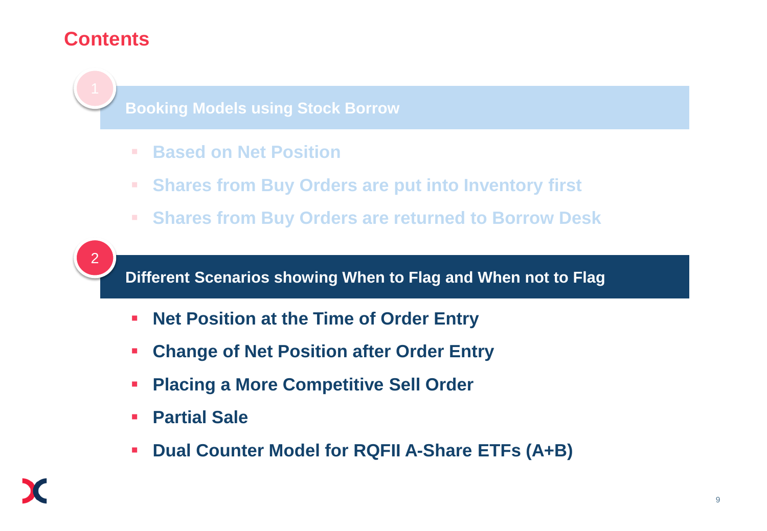#### **Contents**



**Booking Models using Stock Borrow**

- <u>overview</u> **Based on Net Position**
- **Shares from Buy Orders are put into Inventory first**
- **Shares from Buy Orders are returned to Borrow Desk**



**Different Scenarios showing When to Flag and When not to Flag**

- **Net Position at the Time of Order Entry**
- **Change of Net Position after Order Entry**
- **Placing a More Competitive Sell Order**
- **Partial Sale**
- **Dual Counter Model for RQFII A-Share ETFs (A+B)**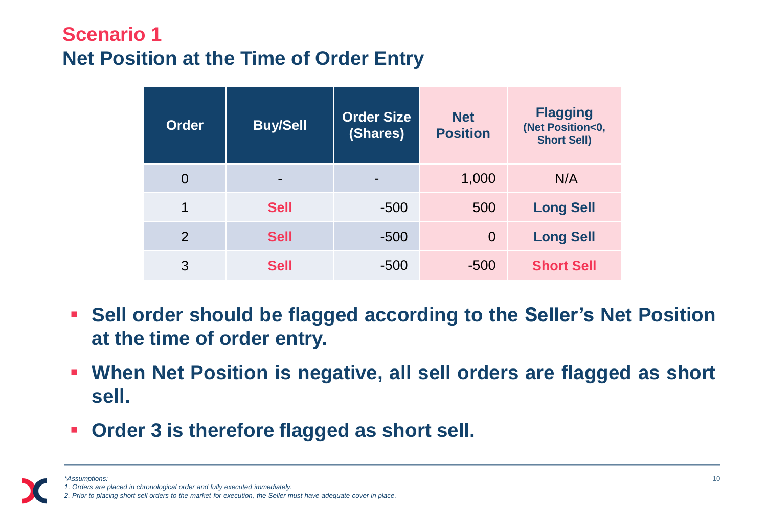## **Scenario 1 Net Position at the Time of Order Entry**

| <b>Order</b>   | <b>Buy/Sell</b> | <b>Order Size</b><br>(Shares) | <b>Net</b><br><b>Position</b> | <b>Flagging</b><br>(Net Position<0,<br><b>Short Sell)</b> |
|----------------|-----------------|-------------------------------|-------------------------------|-----------------------------------------------------------|
| 0              | -               |                               | 1,000                         | N/A                                                       |
| 1              | <b>Sell</b>     | $-500$                        | 500                           | <b>Long Sell</b>                                          |
| $\overline{2}$ | <b>Sell</b>     | $-500$                        | $\overline{0}$                | <b>Long Sell</b>                                          |
| 3              | <b>Sell</b>     | $-500$                        | $-500$                        | <b>Short Sell</b>                                         |

- **Sell order should be flagged according to the Seller's Net Position at the time of order entry.**
- **When Net Position is negative, all sell orders are flagged as short sell.**
- **Order 3 is therefore flagged as short sell.**

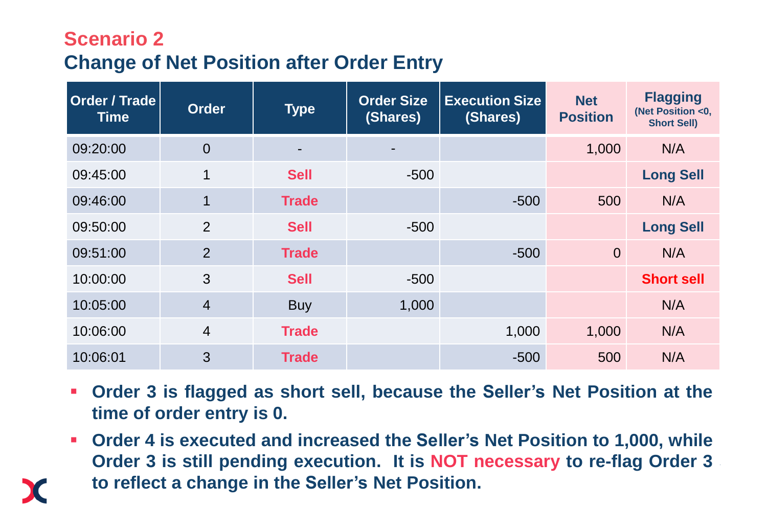#### **Scenario 2 Change of Net Position after Order Entry**

| Order / Trade<br><b>Time</b> | <b>Order</b>   | <b>Type</b>  | <b>Order Size</b><br>(Shares) | <b>Execution Size</b><br>(Shares) | <b>Net</b><br><b>Position</b> | <b>Flagging</b><br>(Net Position <0,<br><b>Short Sell)</b> |
|------------------------------|----------------|--------------|-------------------------------|-----------------------------------|-------------------------------|------------------------------------------------------------|
| 09:20:00                     | $\overline{0}$ |              | -                             |                                   | 1,000                         | N/A                                                        |
| 09:45:00                     | 1              | <b>Sell</b>  | $-500$                        |                                   |                               | <b>Long Sell</b>                                           |
| 09:46:00                     | $\overline{1}$ | <b>Trade</b> |                               | $-500$                            | 500                           | N/A                                                        |
| 09:50:00                     | $\overline{2}$ | <b>Sell</b>  | $-500$                        |                                   |                               | <b>Long Sell</b>                                           |
| 09:51:00                     | 2              | <b>Trade</b> |                               | $-500$                            | $\Omega$                      | N/A                                                        |
| 10:00:00                     | 3              | <b>Sell</b>  | $-500$                        |                                   |                               | <b>Short sell</b>                                          |
| 10:05:00                     | $\overline{4}$ | <b>Buy</b>   | 1,000                         |                                   |                               | N/A                                                        |
| 10:06:00                     | $\overline{4}$ | <b>Trade</b> |                               | 1,000                             | 1,000                         | N/A                                                        |
| 10:06:01                     | 3              | <b>Trade</b> |                               | $-500$                            | 500                           | N/A                                                        |

- **Order 3 is flagged as short sell, because the Seller's Net Position at the time of order entry is 0.**
- **Order 4 is executed and increased the Seller's Net Position to 1,000, while Order 3 is still pending execution. It is NOT necessary to re-flag Order 3 to reflect a change in the Seller's Net Position.**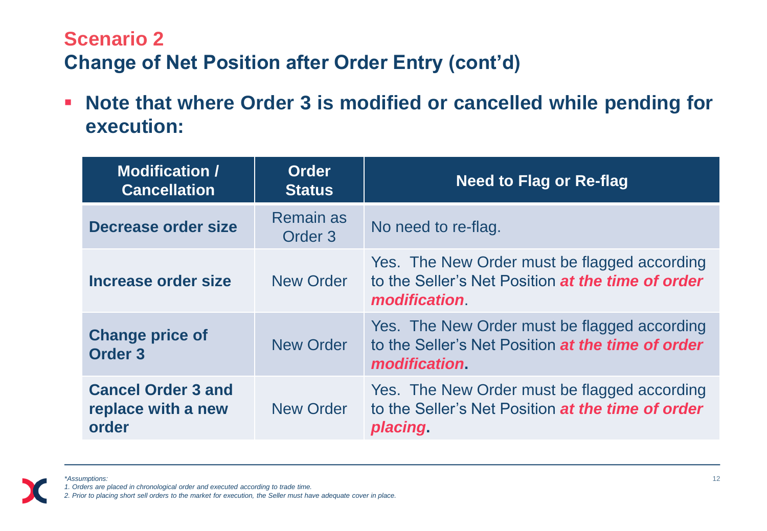## **Scenario 2 Change of Net Position after Order Entry (cont'd)**

 **Note that where Order 3 is modified or cancelled while pending for execution:**

| <b>Modification /</b><br><b>Cancellation</b>             | <b>Order</b><br><b>Status</b> | <b>Need to Flag or Re-flag</b>                                                                                           |
|----------------------------------------------------------|-------------------------------|--------------------------------------------------------------------------------------------------------------------------|
| Decrease order size                                      | <b>Remain as</b><br>Order 3   | No need to re-flag.                                                                                                      |
| Increase order size                                      | <b>New Order</b>              | Yes. The New Order must be flagged according<br>to the Seller's Net Position at the time of order<br><i>modification</i> |
| <b>Change price of</b><br>Order <sub>3</sub>             | <b>New Order</b>              | Yes. The New Order must be flagged according<br>to the Seller's Net Position at the time of order<br>modification.       |
| <b>Cancel Order 3 and</b><br>replace with a new<br>order | <b>New Order</b>              | Yes. The New Order must be flagged according<br>to the Seller's Net Position at the time of order<br>placing.            |

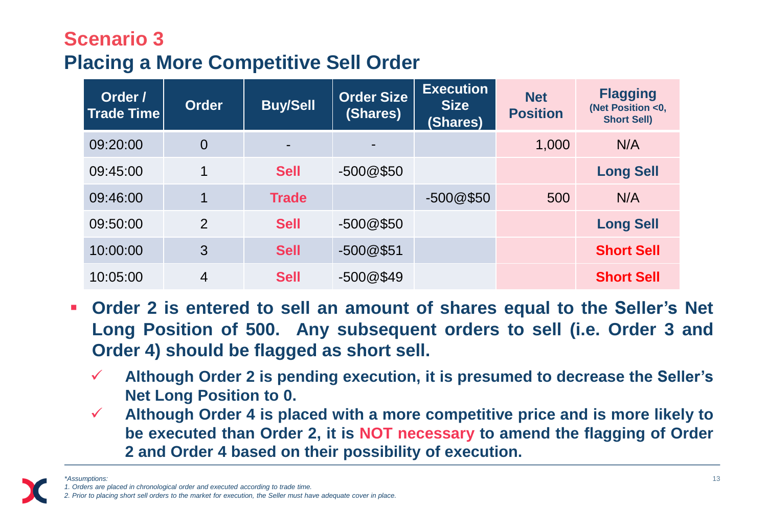## **Scenario 3 Placing a More Competitive Sell Order**

| Order /<br><b>Trade Time</b> | <b>Order</b>   | <b>Buy/Sell</b> | <b>Order Size</b><br>(Shares) | <b>Execution</b><br><b>Size</b><br>(Shares) | <b>Net</b><br><b>Position</b> | <b>Flagging</b><br>(Net Position <0,<br><b>Short Sell)</b> |
|------------------------------|----------------|-----------------|-------------------------------|---------------------------------------------|-------------------------------|------------------------------------------------------------|
| 09:20:00                     | $\overline{0}$ |                 |                               |                                             | 1,000                         | N/A                                                        |
| 09:45:00                     | $\mathbf 1$    | <b>Sell</b>     | $-500@$50$                    |                                             |                               | <b>Long Sell</b>                                           |
| 09:46:00                     |                | <b>Trade</b>    |                               | $-500@$50$                                  | 500                           | N/A                                                        |
| 09:50:00                     | $\overline{2}$ | <b>Sell</b>     | $-500@$50$                    |                                             |                               | <b>Long Sell</b>                                           |
| 10:00:00                     | 3              | <b>Sell</b>     | $-500@$51$                    |                                             |                               | <b>Short Sell</b>                                          |
| 10:05:00                     | 4              | <b>Sell</b>     | $-500@$49$                    |                                             |                               | <b>Short Sell</b>                                          |

- **Order 2 is entered to sell an amount of shares equal to the Seller's Net Long Position of 500. Any subsequent orders to sell (i.e. Order 3 and Order 4) should be flagged as short sell.**
	- **Although Order 2 is pending execution, it is presumed to decrease the Seller's Net Long Position to 0.**
	- **Although Order 4 is placed with a more competitive price and is more likely to be executed than Order 2, it is NOT necessary to amend the flagging of Order 2 and Order 4 based on their possibility of execution.**

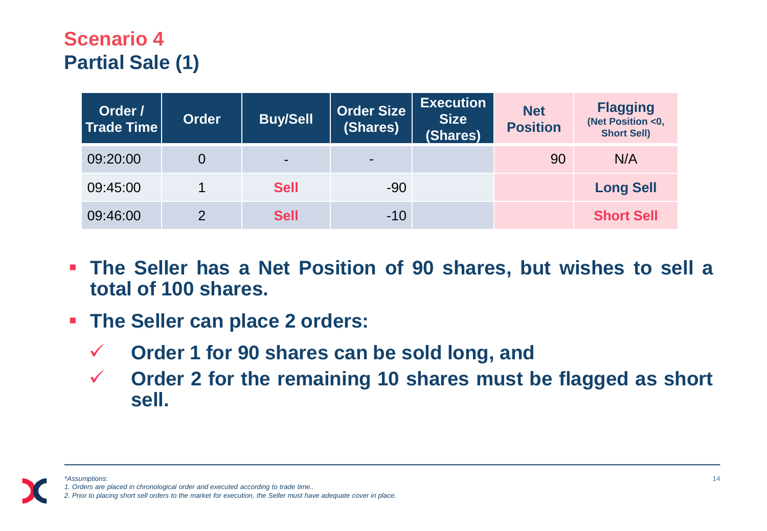## **Scenario 4 Partial Sale (1)**

| Order /<br>Trade Time | <b>Order</b> | <b>Buy/Sell</b> | <b>Order Size</b><br>(Shares) | <b>Execution</b><br><b>Size</b><br>(Shares) | <b>Net</b><br><b>Position</b> | <b>Flagging</b><br>(Net Position <0,<br><b>Short Sell)</b> |
|-----------------------|--------------|-----------------|-------------------------------|---------------------------------------------|-------------------------------|------------------------------------------------------------|
| 09:20:00              | 0            | -               | $\blacksquare$                |                                             | 90                            | N/A                                                        |
| 09:45:00              |              | <b>Sell</b>     | $-90$                         |                                             |                               | <b>Long Sell</b>                                           |
| 09:46:00              | $\Omega$     | <b>Sell</b>     | $-10$                         |                                             |                               | <b>Short Sell</b>                                          |

- **The Seller has a Net Position of 90 shares, but wishes to sell a total of 100 shares.**
- **The Seller can place 2 orders:**
	- **Order 1 for 90 shares can be sold long, and**
	- **Order 2 for the remaining 10 shares must be flagged as short sell.**

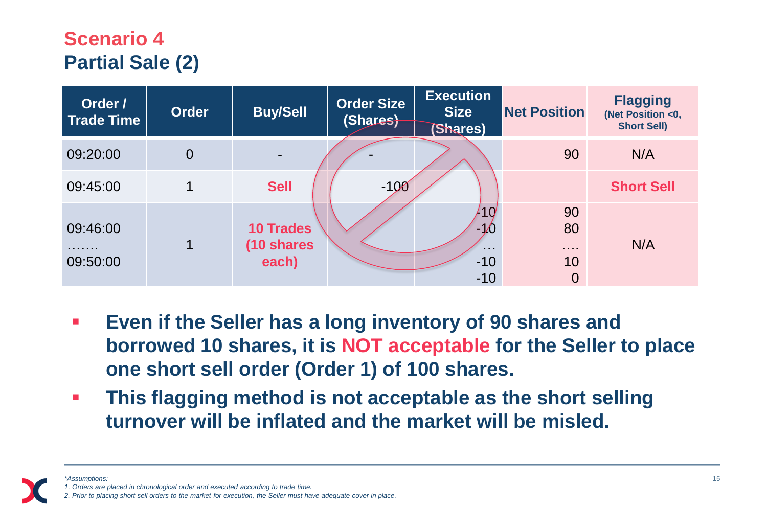## **Scenario 4 Partial Sale (2)**

| Order /<br><b>Trade Time</b> | <b>Order</b>   | <b>Buy/Sell</b>                         | <b>Order Size</b><br>(Shares) | <b>Execution</b><br><b>Size</b><br>(Shares)         | <b>Net Position</b>                          | <b>Flagging</b><br>(Net Position <0,<br><b>Short Sell)</b> |
|------------------------------|----------------|-----------------------------------------|-------------------------------|-----------------------------------------------------|----------------------------------------------|------------------------------------------------------------|
| 09:20:00                     | $\overline{0}$ | $\blacksquare$                          |                               |                                                     | 90                                           | N/A                                                        |
| 09:45:00                     | 1              | <b>Sell</b>                             | $-100$                        |                                                     |                                              | <b>Short Sell</b>                                          |
| 09:46:00<br>.<br>09:50:00    | 1              | <b>10 Trades</b><br>(10 shares<br>each) |                               | 10<br>-10<br>$\sim$ $\sim$ $\sim$<br>$-10$<br>$-10$ | 90<br>80<br>$\cdots$<br>10<br>$\overline{0}$ | N/A                                                        |

- **Even if the Seller has a long inventory of 90 shares and borrowed 10 shares, it is NOT acceptable for the Seller to place one short sell order (Order 1) of 100 shares.**
- **This flagging method is not acceptable as the short selling turnover will be inflated and the market will be misled.**